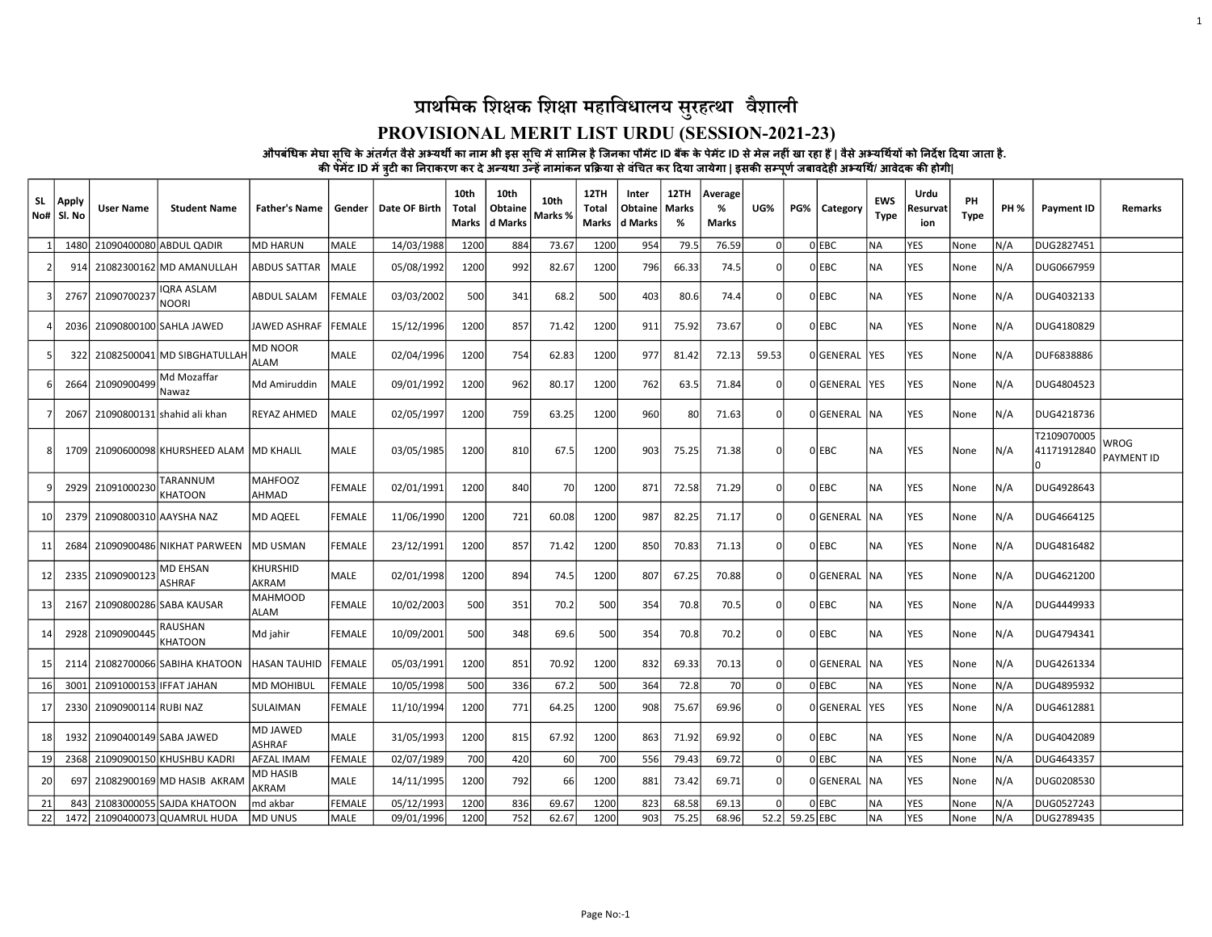### PROVISIONAL MERIT LIST URDU (SESSION-2021-23)

औपबंधिक मेघा सूचि के अंतर्गत वैसे अभ्यथौ का नाम भी इस सूचि मे सामिल है जिनका पौमेट ID बैंक के पेमेट ID से मेल नहीं खा रहा हैं | वैसे अभ्यथियों को निर्देश दिया जाता है.

|    | SL   Apply<br>No#   SI. No | <b>User Name</b>        | <b>Student Name</b>              | <b>Father's Name</b>             | Gender        | Date OF Birth | 10th<br>Total<br><b>Marks</b> | 10th<br>Obtaine<br>d Marks | 10th<br>Marks % | <b>12TH</b><br>Total<br>Marks | Inter<br>Obtaine<br>d Marks | <b>12TH</b><br>Marks<br>% | Average<br>%<br><b>Marks</b> | UG%         | PG%       | Category      | EWS<br><b>Type</b> | Urdu<br>Resurvat<br>ion | PН<br><b>Type</b> | PH % | <b>Payment ID</b>          | Remarks            |
|----|----------------------------|-------------------------|----------------------------------|----------------------------------|---------------|---------------|-------------------------------|----------------------------|-----------------|-------------------------------|-----------------------------|---------------------------|------------------------------|-------------|-----------|---------------|--------------------|-------------------------|-------------------|------|----------------------------|--------------------|
| 11 | 1480l                      |                         | 21090400080 ABDUL QADIR          | <b>MD HARUN</b>                  | <b>MALE</b>   | 14/03/1988    | 1200                          | 884                        | 73.67           | 1200                          | 954                         | 79.5                      | 76.59                        | $\mathbf 0$ |           | 0 EBC         | <b>NA</b>          | YES                     | None              | N/A  | DUG2827451                 |                    |
|    | 914                        |                         | 21082300162 MD AMANULLAH         | ABDUS SATTAR                     | MALE          | 05/08/1992    | 1200                          | 992                        | 82.67           | 1200                          | 796                         | 66.33                     | 74.5                         | $\Omega$    |           | OIEBC         | <b>NA</b>          | YES                     | None              | N/A  | DUG0667959                 |                    |
|    | 2767                       | 21090700237             | IQRA ASLAM<br><b>NOORI</b>       | <b>ABDUL SALAM</b>               | FEMALE        | 03/03/2002    | 500                           | 341                        | 68.2            | 500                           | 403                         | 80.6                      | 74.4                         | $\mathbf 0$ |           | 0 EBC         | <b>NA</b>          | <b>YES</b>              | l None            | N/A  | DUG4032133                 |                    |
|    | 2036                       |                         | 21090800100 SAHLA JAWED          | <b>JAWED ASHRAF</b>              | FEMALE        | 15/12/1996    | 1200                          | 857                        | 71.42           | 1200                          | 911                         | 75.92                     | 73.67                        | $\Omega$    |           | 0 EBC         | NA                 | YES                     | None              | N/A  | DUG4180829                 |                    |
| 5  | 322                        |                         | 21082500041 MD SIBGHATULLAH      | <b>MD NOOR</b><br>ALAM           | <b>MALE</b>   | 02/04/1996    | 1200                          | 754                        | 62.83           | 1200                          | 977                         | 81.42                     | 72.13                        | 59.53       |           | 0 GENERAL YES |                    | <b>YES</b>              | None              | N/A  | DUF6838886                 |                    |
|    | 2664                       | 21090900499             | Md Mozaffar<br>Nawaz             | Md Amiruddin                     | MALE          | 09/01/1992    | 1200                          | 962                        | 80.17           | 1200                          | 762                         | 63.5                      | 71.84                        | $\Omega$    |           | OGENERAL      | <b>IYES</b>        | YES                     | None              | N/A  | DUG4804523                 |                    |
|    | 2067                       |                         | 21090800131 shahid ali khan      | REYAZ AHMED                      | MALE          | 02/05/1997    | 1200                          | 759                        | 63.25           | 1200                          | 960                         | 80                        | 71.63                        | $\Omega$    |           | 0 GENERAL     | <b>INA</b>         | <b>YES</b>              | None              | N/A  | DUG4218736                 |                    |
| 8  | 1709                       |                         | 21090600098 KHURSHEED ALAM       | <b>IMD KHALIL</b>                | <b>MALE</b>   | 03/05/1985    | 1200                          | 810                        | 67.5            | 1200                          | 903                         | 75.25                     | 71.38                        | $\Omega$    |           | 0 EBC         | <b>NA</b>          | <b>YES</b>              | None              | N/A  | T2109070005<br>41171912840 | WROG<br>PAYMENT ID |
|    | 2929                       | 21091000230             | TARANNUM<br><b>KHATOON</b>       | <b>MAHFOOZ</b><br>AHMAD          | FEMALE        | 02/01/1991    | 1200                          | 840                        | 70              | 1200                          | 871                         | 72.58                     | 71.29                        | $\Omega$    |           | 0 EBC         | NA                 | YES                     | None              | N/A  | DUG4928643                 |                    |
| 10 | 23791                      | 21090800310 AAYSHA NAZ  |                                  | <b>MD AQEEL</b>                  | <b>FEMALE</b> | 11/06/1990    | 1200                          | 721                        | 60.08           | 1200                          | 987                         | 82.25                     | 71.17                        | $\Omega$    |           | 0 GENERAL     | INA.               | <b>YES</b>              | None              | N/A  | DUG4664125                 |                    |
| 11 | 2684                       |                         | 21090900486 NIKHAT PARWEEN       | <b>MD USMAN</b>                  | FEMALE        | 23/12/1991    | 1200                          | 857                        | 71.42           | 1200                          | 850                         | 70.83                     | 71.13                        | $\Omega$    |           | 0 EBC         | NA                 | YES                     | None              | N/A  | DUG4816482                 |                    |
| 12 | 23351                      | 21090900123             | <b>MD EHSAN</b><br><b>ASHRAF</b> | KHURSHID<br><b>AKRAM</b>         | <b>MALE</b>   | 02/01/1998    | 1200                          | 894                        | 74.5            | 1200                          | 807                         | 67.25                     | 70.88                        | $\Omega$    |           | OGENERAL      | <b>NA</b>          | <b>YES</b>              | l None            | N/A  | DUG4621200                 |                    |
| 13 | 2167                       |                         | 21090800286 SABA KAUSAR          | <b>MAHMOOD</b><br><b>ALAM</b>    | FEMALE        | 10/02/2003    | 500                           | 351                        | 70.2            | 500                           | 354                         | 70.8                      | 70.5                         | 0           |           | 0 EBC         | NA                 | YES                     | None              | N/A  | DUG4449933                 |                    |
| 14 | 2928                       | 21090900445             | <b>RAUSHAN</b><br>KHATOON        | Md jahir                         | FEMALE        | 10/09/2001    | 500                           | 348                        | 69.6            | 500                           | 354                         | 70.8                      | 70.2                         | $\Omega$    |           | 0 EBC         | <b>NA</b>          | <b>YES</b>              | None              | N/A  | DUG4794341                 |                    |
| 15 | 2114                       |                         | 21082700066 SABIHA KHATOON       | <b>HASAN TAUHID</b>              | <b>FEMALE</b> | 05/03/1991    | 1200                          | 851                        | 70.92           | 1200                          | 832                         | 69.33                     | 70.13                        | 0           |           | 0 GENERAL NA  |                    | YES                     | None              | N/A  | DUG4261334                 |                    |
| 16 | 3001                       | 21091000153 IFFAT JAHAN |                                  | MD MOHIBUL                       | FEMALE        | 10/05/1998    | 500                           | 336                        | 67.2            | 500                           | 364                         | 72.8                      | 70                           | $\Omega$    |           | $0$ EBC       | <b>NA</b>          | <b>YES</b>              | None              | N/A  | DUG4895932                 |                    |
| 17 | 2330l                      | 21090900114 RUBI NAZ    |                                  | SULAIMAN                         | FEMALE        | 11/10/1994    | 1200                          | 771                        | 64.25           | 1200                          | 908                         | 75.67                     | 69.96                        | $\Omega$    |           | OGENERAL YES  |                    | <b>YES</b>              | None              | N/A  | DUG4612881                 |                    |
| 18 | 1932                       | 21090400149 SABA JAWED  |                                  | <b>MD JAWED</b><br><b>ASHRAF</b> | MALE          | 31/05/1993    | 1200                          | 815                        | 67.92           | 1200                          | 863                         | 71.92                     | 69.92                        | $\Omega$    |           | 0 EBC         | NA                 | YES                     | None              | N/A  | DUG4042089                 |                    |
| 19 | 2368l                      |                         | 21090900150 KHUSHBU KADRI        | <b>AFZAL IMAM</b>                | <b>FEMALE</b> | 02/07/1989    | 700                           | 420                        | 60              | 700                           | 556                         | 79.43                     | 69.72                        | $\Omega$    |           | 0 EBC         | <b>NA</b>          | <b>YES</b>              | None              | N/A  | DUG4643357                 |                    |
| 20 | 697                        |                         | 21082900169 MD HASIB AKRAM       | <b>MD HASIB</b><br><b>AKRAM</b>  | MALE          | 14/11/1995    | 1200                          | 792                        | 66              | 1200                          | 881                         | 73.42                     | 69.71                        | $\Omega$    |           | 0 GENERAL     | INA.               | YES                     | None              | N/A  | DUG0208530                 |                    |
| 21 | 843                        |                         | 21083000055 SAJDA KHATOON        | md akbar                         | FEMALE        | 05/12/1993    | 1200                          | 836                        | 69.67           | 1200                          | 823                         | 68.58                     | 69.13                        | $\Omega$    |           | 0 EBC         | <b>NA</b>          | <b>YES</b>              | None              | N/A  | DUG0527243                 |                    |
| 22 |                            |                         | 1472 21090400073 QUAMRUL HUDA    | MD UNUS                          | MALE          | 09/01/1996    | 1200                          | 752                        | 62.67           | 1200                          | 903                         | 75.25                     | 68.96                        | 52.2        | 59.25 EBC |               | <b>NA</b>          | <b>YES</b>              | None              | N/A  | DUG2789435                 |                    |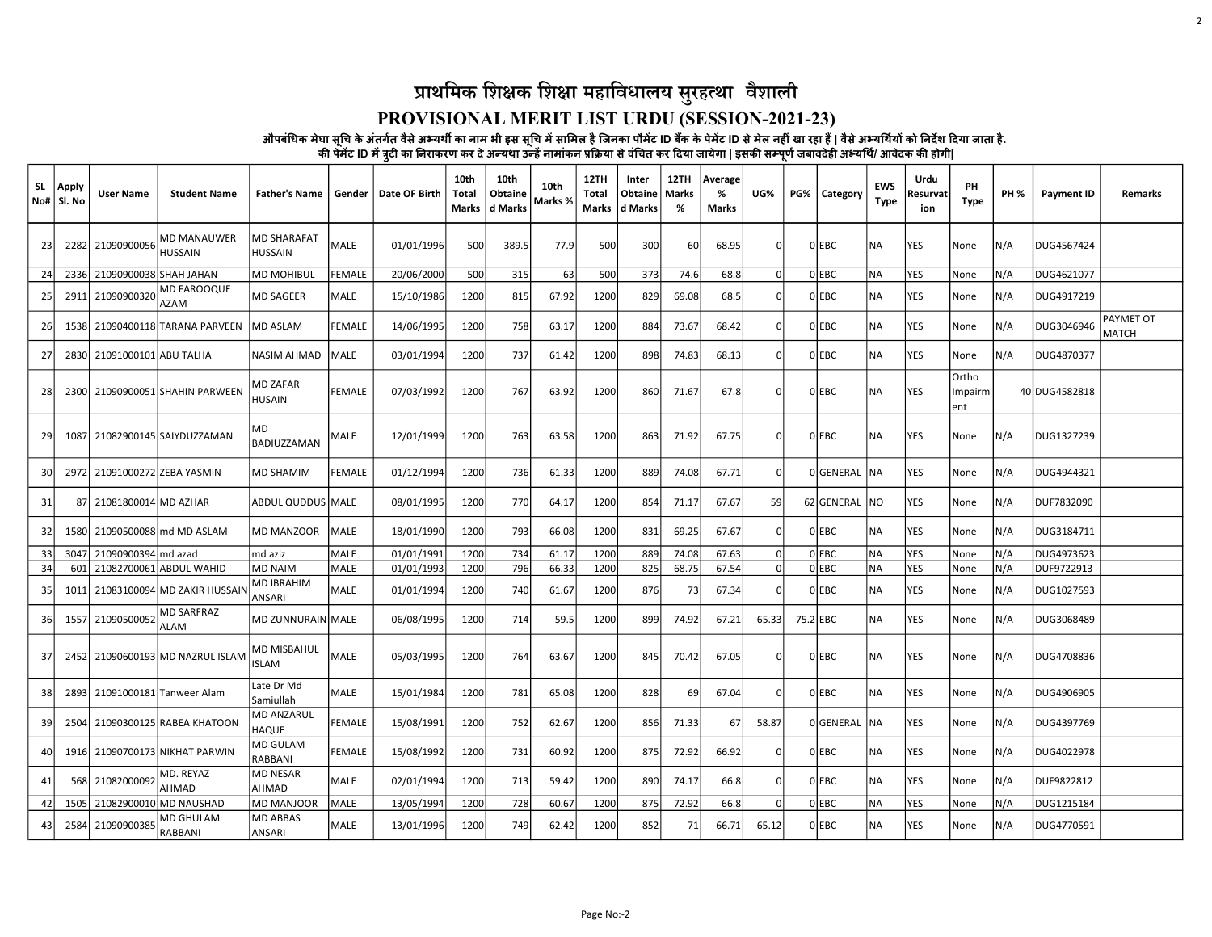### PROVISIONAL MERIT LIST URDU (SESSION-2021-23)

औपबंधिक मेघा सूचि के अंतर्गत वैसे अभ्यथौ का नाम भी इस सूचि में सामिल है जिनका पौमेंट ID बैंक के पेमेंट ID से मेल नहीं खा रहा हैं | वैसे अभ्यथियों को निर्देश दिया जाता है.

2

| <b>SL</b><br>No# | Apply<br>  SI. No | <b>User Name</b>           | <b>Student Name</b>             | <b>Father's Name</b>                 | Gender        | Date OF Birth | 10th<br>Total<br>Marks | 10th<br>Obtaine<br>d Marks | 10th<br>Marks % | <b>12TH</b><br>Total<br>Marks | Inter<br><b>Obtaine</b><br>d Marks | 12TH<br>Marks<br>% | Average<br>%<br>Marks | UG%            | PG% | Category      | <b>EWS</b><br>Type | Urdu<br><b>≀esurvat</b><br>ion | PH<br><b>Type</b>       | <b>PH %</b> | <b>Payment ID</b> | Remarks                   |
|------------------|-------------------|----------------------------|---------------------------------|--------------------------------------|---------------|---------------|------------------------|----------------------------|-----------------|-------------------------------|------------------------------------|--------------------|-----------------------|----------------|-----|---------------|--------------------|--------------------------------|-------------------------|-------------|-------------------|---------------------------|
| <b>231</b>       |                   | 2282 21090900056           | MD MANAUWER<br>HUSSAIN          | <b>MD SHARAFAT</b><br><b>HUSSAIN</b> | <b>MALE</b>   | 01/01/1996    | 500                    | 389.5                      | 77.9            | 500                           | 300                                | 60                 | 68.95                 | $\overline{0}$ |     | 0 EBC         | INA.               | YES.                           | l None                  | N/A         | DUG4567424        |                           |
| 24               | 2336              | 21090900038 SHAH JAHAN     |                                 | <b>MD MOHIBUL</b>                    | FEMALE        | 20/06/2000    | 500                    | 315                        | 63              | 500                           | 373                                | 74.6               | 68.8                  | $\mathbf{0}$   |     | 0 EBC         | NA)                | <b>YES</b>                     | None                    | N/A         | DUG4621077        |                           |
| 25               | <b>2911</b>       | 21090900320                | MD FAROOQUE<br><b>AZAM</b>      | <b>MD SAGEER</b>                     | <b>MALE</b>   | 15/10/1986    | 1200                   | 815                        | 67.92           | 1200                          | 829                                | 69.08              | 68.5                  | $\Omega$       |     | 0 EBC         | INA.               | YES)                           | None                    | N/A         | DUG4917219        |                           |
| 26               | 1538              |                            | 21090400118 TARANA PARVEEN      | <b>MD ASLAM</b>                      | <b>FEMALE</b> | 14/06/1995    | 1200                   | 758                        | 63.17           | 1200                          | 884                                | 73.67              | 68.42                 | $\mathbf 0$    |     | 0 EBC         | NA                 | YES                            | None                    | N/A         | DUG3046946        | PAYMET OT<br><b>MATCH</b> |
| 27               |                   | 2830 21091000101 ABU TALHA |                                 | NASIM AHMAD                          | <b>MALE</b>   | 03/01/1994    | 1200                   | 737                        | 61.42           | 1200                          | 898                                | 74.83              | 68.13                 | $\mathbf 0$    |     | 0 EBC         | INA.               | YES                            | None                    | N/A         | DUG4870377        |                           |
| 28               |                   |                            | 2300 21090900051 SHAHIN PARWEEN | <b>MD ZAFAR</b><br>HUSAIN            | <b>FEMALE</b> | 07/03/1992    | 1200                   | 767                        | 63.92           | 1200                          | 860                                | 71.67              | 67.8                  | $\overline{0}$ |     | OIEBC         | <b>NA</b>          | YES.                           | Ortho<br>Impairm<br>ent |             | 40 DUG4582818     |                           |
| <b>29</b>        | 1087              |                            | 21082900145 SAIYDUZZAMAN        | MD<br>BADIUZZAMAN                    | MALE          | 12/01/1999    | 1200                   | 763                        | 63.58           | 1200                          | 863                                | 71.92              | 67.75                 | 0l             |     | OIEBC         | INA.               | YES                            | None                    | N/A         | DUG1327239        |                           |
| 30               | 29721             | 21091000272 ZEBA YASMIN    |                                 | <b>MD SHAMIM</b>                     | <b>FEMALE</b> | 01/12/1994    | 1200                   | 736                        | 61.33           | 1200                          | 889                                | 74.08              | 67.71                 | 0l             |     | OIGENERAL INA |                    | <b>YES</b>                     | l None                  | N/A         | DUG4944321        |                           |
| 31               | 87                | 21081800014 MD AZHAR       |                                 | ABDUL QUDDUS MALE                    |               | 08/01/1995    | 1200                   | 770                        | 64.17           | 1200                          | 854                                | 71.17              | 67.67                 | 59             |     | 62 GENERAL    | . Ino              | YES                            | None                    | N/A         | DUF7832090        |                           |
| 32               | 1580              |                            | 21090500088 md MD ASLAM         | MD MANZOOR                           | MALE          | 18/01/1990    | 1200                   | 793                        | 66.08           | 1200                          | 831                                | 69.25              | 67.67                 | $\mathbf 0$    |     | $0$ EBC       | NA                 | YES)                           | None                    | N/A         | DUG3184711        |                           |
| 33               | 3047              | 21090900394 md azad        |                                 | md aziz                              | MALE          | 01/01/1991    | 1200                   | 734                        | 61.17           | 1200                          | 889                                | 74.08              | 67.63                 | $\Omega$       |     | 0 EBC         | NA)                | lyes                           | None                    | N/A         | DUG4973623        |                           |
| 34               | 601               |                            | 21082700061 ABDUL WAHID         | <b>MD NAIM</b>                       | <b>MALE</b>   | 01/01/1993    | 1200                   | 796                        | 66.33           | 1200                          | 825                                | 68.75              | 67.54                 | $\overline{0}$ |     | 0 EBC         | INA.               | lyes                           | None                    | N/A         | DUF9722913        |                           |
| 35               | 1011              |                            | 21083100094 MD ZAKIR HUSSAIN    | <b>MD IBRAHIM</b><br>ANSARI          | MALE          | 01/01/1994    | 1200                   | 740                        | 61.67           | 1200                          | 876                                | -73                | 67.34                 | $\overline{0}$ |     | OIEBC         | INA.               | lyes                           | l None                  | N/A         | DUG1027593        |                           |
| 36               | 1557              | 21090500052                | <b>MD SARFRAZ</b><br>ALAM       | MD ZUNNURAIN MALE                    |               | 06/08/1995    | 1200                   | 714                        | 59.5            | 1200                          | 899                                | 74.92              | 67.21                 | 65.33          |     | 75.2 EBC      | NA.                | YES                            | None                    | N/A         | DUG3068489        |                           |
| 37               | 24521             |                            | 21090600193 MD NAZRUL ISLAM     | <b>MD MISBAHUL</b><br>ISLAM          | MALE          | 05/03/1995    | 1200                   | 764                        | 63.67           | 1200                          | 845                                | 70.42              | 67.05                 | $\overline{0}$ |     | 0 EBC         | NA.                | YES                            | None                    | N/A         | DUG4708836        |                           |
| 38               | 2893              |                            | 21091000181 Tanweer Alam        | Late Dr Md<br>Samiullah              | MALE          | 15/01/1984    | 1200                   | 781                        | 65.08           | 1200                          | 828                                | 69                 | 67.04                 | $\Omega$       |     | 0 EBC         | NA                 | YES)                           | None                    | N/A         | DUG4906905        |                           |
| 39               | 2504              |                            | 21090300125 RABEA KHATOON       | <b>MD ANZARUL</b><br><b>HAQUE</b>    | <b>FEMALE</b> | 15/08/1991    | 1200                   | 752                        | 62.67           | 1200                          | 856                                | 71.33              | 67                    | 58.87          |     | OIGENERAL INA |                    | lyes                           | None                    | N/A         | DUG4397769        |                           |
| 40               | 1916              |                            | 21090700173 NIKHAT PARWIN       | <b>MD GULAM</b><br><b>RABBANI</b>    | FEMALE        | 15/08/1992    | 1200                   | 731                        | 60.92           | 1200                          | 875                                | 72.92              | 66.92                 | $\mathbf{0}$   |     | 0 EBC         | NA                 | YES                            | None                    | N/A         | DUG4022978        |                           |
| 41               | 568               | 21082000092                | MD. REYAZ<br>AHMAD              | <b>MD NESAR</b><br>AHMAD             | MALE          | 02/01/1994    | 1200                   | 713                        | 59.42           | 1200                          | 890                                | 74.17              | 66.8                  | $\overline{0}$ |     | 0 EBC         | INA.               | YES                            | None                    | N/A         | DUF9822812        |                           |
| 42               | 1505              | 21082900010                | <b>MD NAUSHAD</b>               | <b>MD MANJOOR</b>                    | MALE          | 13/05/1994    | 1200                   | 728                        | 60.67           | 1200                          | 875                                | 72.92              | 66.8                  | $\overline{0}$ |     | 0 EBC         | INA.               | lyes                           | None                    | N/A         | DUG1215184        |                           |
| 43               | 2584              | 21090900385                | MD GHULAM<br>RABBANI            | <b>MD ABBAS</b><br><b>ANSARI</b>     | MALE          | 13/01/1996    | 1200                   | 749                        | 62.42           | 1200                          | 852                                | 71                 | 66.71                 | 65.12          |     | 0 EBC         | NA                 | YES                            | None                    | N/A         | DUG4770591        |                           |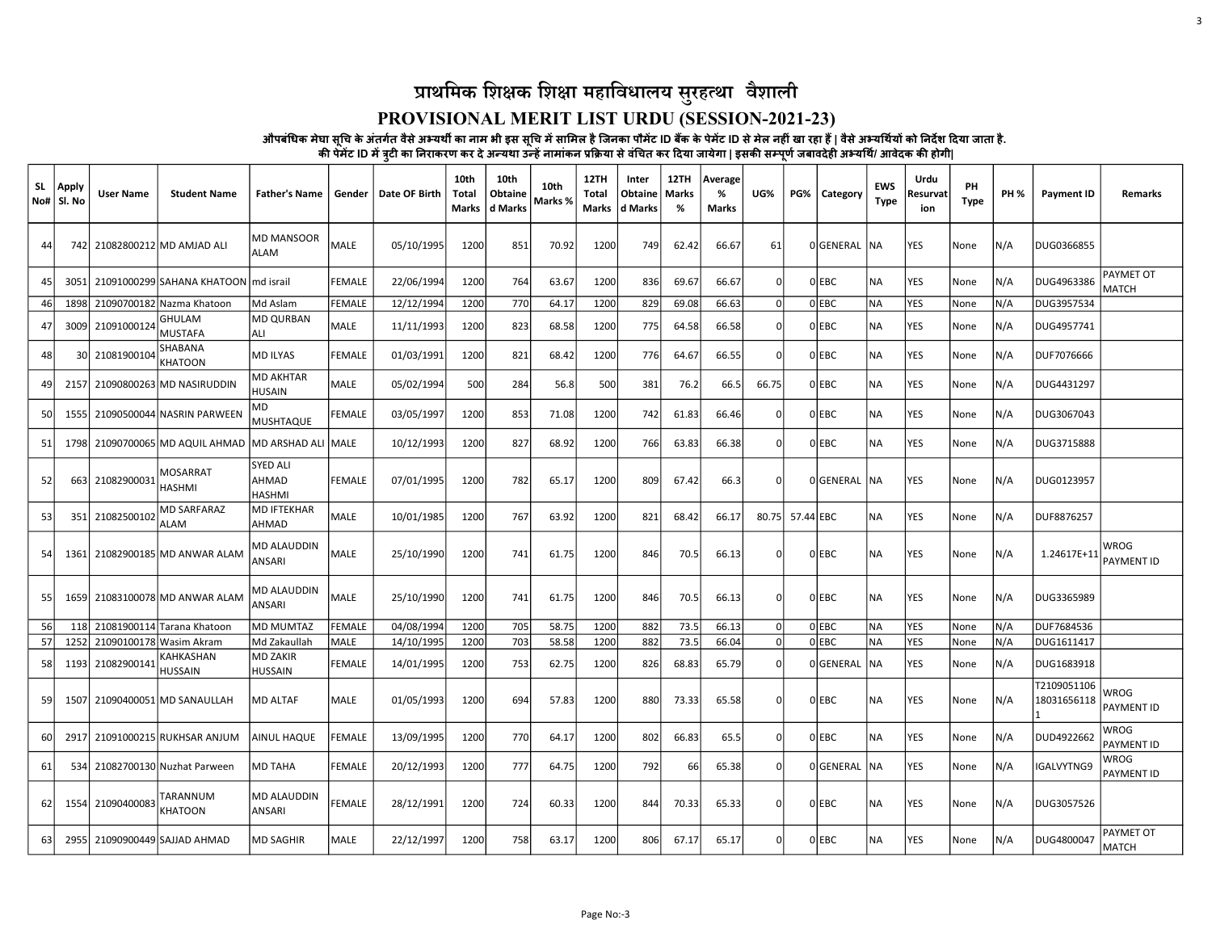### PROVISIONAL MERIT LIST URDU (SESSION-2021-23)

औपबंधिक मेघा सूचि के अंतर्गत वैसे अभ्यथौ का नाम भी इस सूचि में सामिल है जिनका पौमेंट ID बैंक के पेमेंट ID से मेल नहीं खा रहा हैं | वैसे अभ्यथियों को निर्देश दिया जाता है.

3

| <b>SL</b> | Apply<br>No#   SI. No | User Name               | <b>Student Name</b>             | Father's Name                      | Gender        | Date OF Birth | 10th<br>Total<br>Marks | 10th<br>Obtaine<br>d Marks | 10th<br>Marks % | <b>12TH</b><br>Total<br>Marks | Inter<br><b>Obtaine</b><br>d Marks | <b>12TH</b><br>Marks<br>% | Average<br>%<br>Marks | UG%            | PG%             | Category  | <b>EWS</b><br>Type | Urdu<br>Resurvat<br>ion | PН<br>Type | <b>PH %</b> | <b>Payment ID</b>          | Remarks                   |
|-----------|-----------------------|-------------------------|---------------------------------|------------------------------------|---------------|---------------|------------------------|----------------------------|-----------------|-------------------------------|------------------------------------|---------------------------|-----------------------|----------------|-----------------|-----------|--------------------|-------------------------|------------|-------------|----------------------------|---------------------------|
| 44        |                       |                         | 742 21082800212 MD AMJAD ALI    | <b>MD MANSOOR</b><br><b>ALAM</b>   | <b>MALE</b>   | 05/10/1995    | 1200                   | 851                        | 70.92           | 1200                          | 749                                | 62.42                     | 66.67                 | 61             |                 | OIGENERAL | NA.                | YES                     | None       | N/A         | DUG0366855                 |                           |
| 45        | 3051                  |                         | 21091000299 SAHANA KHATOON      | md israil                          | <b>FEMALE</b> | 22/06/1994    | 1200                   | 764                        | 63.67           | 1200                          | 836                                | 69.67                     | 66.67                 | 0l             |                 | OLEBC     | <b>NA</b>          | <b>YES</b>              | None       | N/A         | DUG4963386                 | PAYMET OT<br>MATCH        |
| 46        |                       |                         | 1898 21090700182 Nazma Khatoon  | Md Aslam                           | FEMALE        | 12/12/1994    | 1200                   | 770                        | 64.17           | 1200                          | 829                                | 69.08                     | 66.63                 | $\mathbf 0$    |                 | 0 EBC     | <b>NA</b>          | <b>YES</b>              | None       | N/A         | DUG3957534                 |                           |
| 47        | 3009                  | 21091000124             | GHULAM<br><b>MUSTAFA</b>        | <b>MD QURBAN</b><br>ALI            | MALE          | 11/11/1993    | 1200                   | 823                        | 68.58           | 1200                          | 775                                | 64.58                     | 66.58                 | 0              |                 | 0 EBC     | <b>NA</b>          | YES                     | None       | N/A         | DUG4957741                 |                           |
| 48        |                       | 30 21081900104          | SHABANA<br>KHATOON              | <b>MD ILYAS</b>                    | FEMALE        | 01/03/1991    | 1200                   | 821                        | 68.42           | 1200                          | 776                                | 64.67                     | 66.55                 | 0              |                 | 0 EBC     | NA                 | YES                     | None       | N/A         | DUF7076666                 |                           |
| 49        | 2157                  |                         | 21090800263 MD NASIRUDDIN       | <b>MD AKHTAR</b><br><b>HUSAIN</b>  | MALE          | 05/02/1994    | 500                    | 284                        | 56.8            | 500                           | 381                                | 76.2                      | 66.5                  | 66.75          |                 | 0 EBC     | <b>NA</b>          | <b>YES</b>              | None       | N/A         | DUG4431297                 |                           |
| 50        | 15551                 |                         | 21090500044 NASRIN PARWEEN      | MD<br>MUSHTAQUE                    | FEMALE        | 03/05/1997    | 1200                   | 853                        | 71.08           | 1200                          | 742                                | 61.83                     | 66.46                 | 0              |                 | 0 EBC     | <b>NA</b>          | <b>YES</b>              | None       | N/A         | DUG3067043                 |                           |
| 51        |                       |                         | 1798 21090700065 MD AQUIL AHMAD | <b>MD ARSHAD ALI</b>               | <b>MALE</b>   | 10/12/1993    | 1200                   | 827                        | 68.92           | 1200                          | 766                                | 63.83                     | 66.38                 | 0l             |                 | 0 EBC     | <b>NA</b>          | YES                     | None       | N/A         | DUG3715888                 |                           |
| 52        |                       | 663 21082900031         | MOSARRAT<br><b>IMHZAF</b>       | <b>SYED ALI</b><br>AHMAD<br>HASHMI | FEMALE        | 07/01/1995    | 1200                   | 782                        | 65.17           | 1200                          | 809                                | 67.42                     | 66.3                  | $\Omega$       |                 | 0 GENERAL | INA.               | YES                     | None       | N/A         | DUG0123957                 |                           |
| 53        |                       | 351 21082500102         | <b>MD SARFARAZ</b><br>ALAM      | <b>MD IFTEKHAR</b><br>AHMAD        | MALE          | 10/01/1985    | 1200                   | 767                        | 63.92           | 1200                          | 821                                | 68.42                     | 66.17                 |                | 80.75 57.44 EBC |           | <b>NA</b>          | YES                     | None       | N/A         | DUF8876257                 |                           |
| 54        |                       |                         | 1361 21082900185 MD ANWAR ALAM  | MD ALAUDDIN<br>ANSARI              | MALE          | 25/10/1990    | 1200                   | 741                        | 61.75           | 1200                          | 846                                | 70.5                      | 66.13                 | 0l             |                 | 0 EBC     | <b>NA</b>          | <b>YES</b>              | None       | N/A         | 1.24617E+11                | WROG<br>PAYMENT ID        |
| 55        |                       |                         | 1659 21083100078 MD ANWAR ALAM  | MD ALAUDDIN<br>ANSARI              | MALE          | 25/10/1990    | 1200                   | 741                        | 61.75           | 1200                          | 846                                | 70.5                      | 66.13                 | 0              |                 | 0 EBC     | NA                 | YES                     | None       | N/A         | DUG3365989                 |                           |
| 56        |                       |                         | 118 21081900114 Tarana Khatoon  | <b>MD MUMTAZ</b>                   | FEMALE        | 04/08/1994    | 1200                   | 705                        | 58.75           | 1200                          | 882                                | 73.5                      | 66.13                 | $\overline{0}$ |                 | 0 EBC     | <b>NA</b>          | <b>YES</b>              | None       | N/A         | DUF7684536                 |                           |
| 57        | 1252                  | 21090100178 Wasim Akram |                                 | Md Zakaullah                       | MALE          | 14/10/1995    | 1200                   | 703                        | 58.58           | 1200                          | 882                                | 73.5                      | 66.04                 | $\overline{0}$ |                 | OLEBC     | <b>NA</b>          | <b>YES</b>              | None       | N/A         | DUG1611417                 |                           |
| 58        |                       | 1193 21082900141        | KAHKASHAN<br>HUSSAIN            | <b>MD ZAKIR</b><br><b>HUSSAIN</b>  | FEMALE        | 14/01/1995    | 1200                   | 753                        | 62.75           | 1200                          | 826                                | 68.83                     | 65.79                 | $\mathbf 0$    |                 | 0 GENERAL | INA.               | <b>YES</b>              | None       | N/A         | DUG1683918                 |                           |
| 59        | 1507                  |                         | 21090400051 MD SANAULLAH        | <b>MD ALTAF</b>                    | <b>MALE</b>   | 01/05/1993    | 1200                   | 694                        | 57.83           | 1200                          | 880                                | 73.33                     | 65.58                 | 0l             |                 | 0 EBC     | <b>NA</b>          | <b>YES</b>              | None       | N/A         | T2109051106<br>18031656118 | WROG<br>PAYMENT ID        |
| 60        | 2917                  |                         | 21091000215 RUKHSAR ANJUM       | AINUL HAQUE                        | FEMALE        | 13/09/1995    | 1200                   | 770                        | 64.17           | 1200                          | 802                                | 66.83                     | 65.5                  | 0              |                 | 0 EBC     | NA                 | YES                     | None       | N/A         | DUD4922662                 | WROG<br>PAYMENT ID        |
| 61        |                       |                         | 534 21082700130 Nuzhat Parween  | MD TAHA                            | <b>FEMALE</b> | 20/12/1993    | 1200                   | 777                        | 64.75           | 1200                          | 792                                | 66                        | 65.38                 | 0              |                 | GENERAL   | <b>NA</b>          | YES                     | None       | N/A         | <b>IGALVYTNG9</b>          | <b>NROG</b><br>PAYMENT ID |
| 62        |                       | 1554 21090400083        | TARANNUM<br><b>KHATOON</b>      | <b>MD ALAUDDIN</b><br>ANSARI       | FEMALE        | 28/12/1991    | 1200                   | 724                        | 60.33           | 1200                          | 844                                | 70.33                     | 65.33                 | $\Omega$       |                 | 0 EBC     | <b>NA</b>          | YES                     | None       | IN/A        | DUG3057526                 |                           |
| 63        |                       |                         | 2955 21090900449 SAJJAD AHMAD   | <b>MD SAGHIR</b>                   | MALE          | 22/12/1997    | 1200                   | 758                        | 63.17           | 1200                          | 806                                | 67.17                     | 65.17                 | 0l             |                 | 0 EBC     | <b>NA</b>          | YES                     | None       | N/A         | DUG4800047                 | <b>PAYMET OT</b><br>MATCH |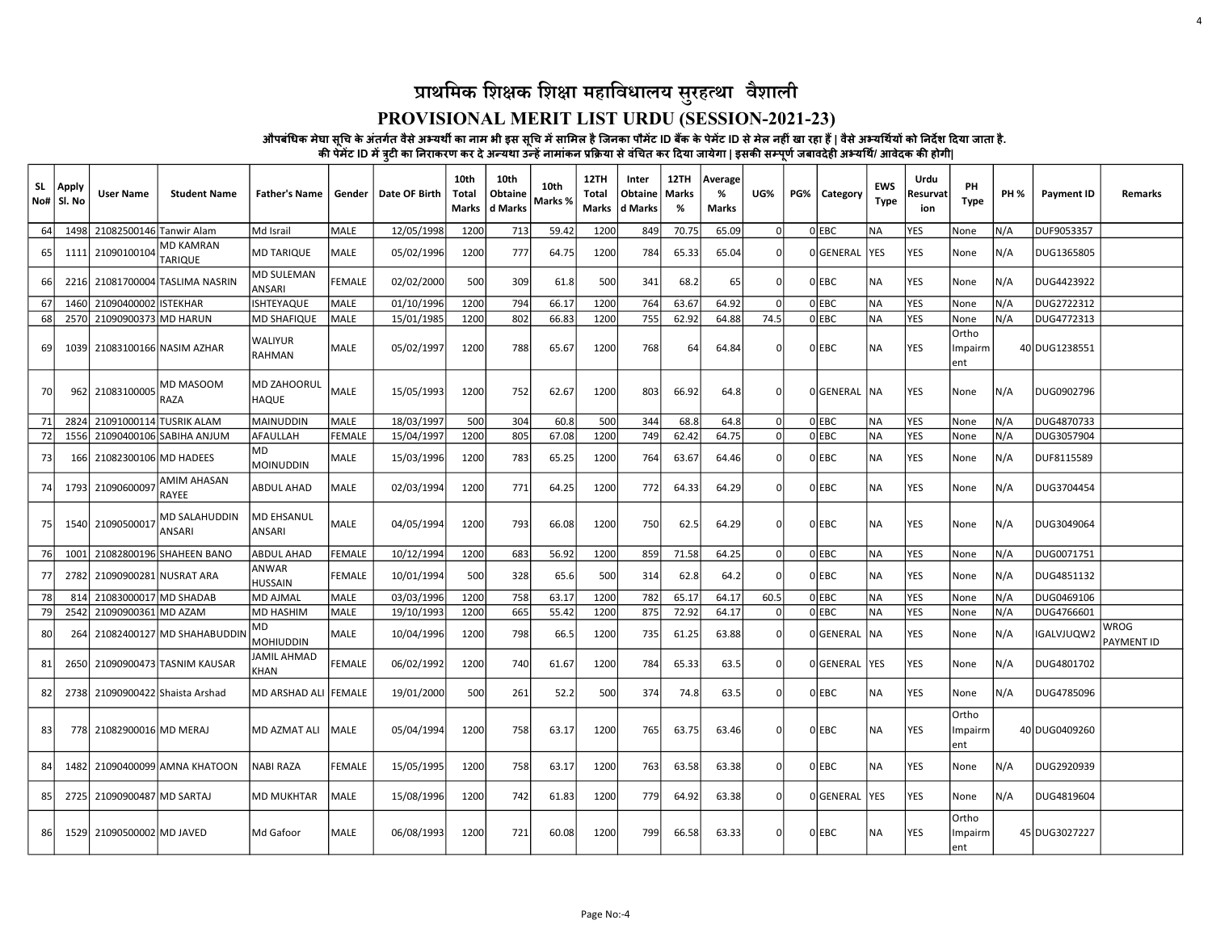### PROVISIONAL MERIT LIST URDU (SESSION-2021-23)

औपबंधिक मेघा सूचि के अंतर्गत वैसे अभ्यथौ का नाम भी इस सूचि में सामिल है जिनका पौमेंट ID बैंक के पेमेंट ID से मेल नहीं खा रहा हैं | वैसे अभ्यथियों को निर्देश दिया जाता है.

4

| SL. | Apply<br>No# SI. No | User Name                    | <b>Student Name</b>                | <b>Father's Name</b>        | Gender        | Date OF Birth | 10th<br>Total<br>Marks | 10th<br>Obtaine<br>d Marks | 10th<br>Marks % | <b>12TH</b><br>Total<br>Marks | Inter<br><b>Obtaine</b><br>d Marks | 12TH<br>Marks<br>% | Average<br>%<br>Marks | UG%            | PG% | Category       | <b>EWS</b><br><b>Type</b> | Urdu<br>Resurvat<br>ion | PH<br>Type              | <b>PH %</b> | <b>Payment ID</b> | Remarks            |
|-----|---------------------|------------------------------|------------------------------------|-----------------------------|---------------|---------------|------------------------|----------------------------|-----------------|-------------------------------|------------------------------------|--------------------|-----------------------|----------------|-----|----------------|---------------------------|-------------------------|-------------------------|-------------|-------------------|--------------------|
| 64  |                     | 1498 21082500146 Tanwir Alam |                                    | Md Israil                   | MALE          | 12/05/1998    | 1200                   | 713                        | 59.42           | 1200                          | 849                                | 70.75              | 65.09                 | $\overline{0}$ |     | 0 EBC          | <b>NA</b>                 | <b>YES</b>              | None                    | N/A         | DUF9053357        |                    |
| 65  | 1111                | 21090100104                  | <b>MD KAMRAN</b><br><b>TARIQUE</b> | <b>MD TARIQUE</b>           | MALE          | 05/02/1996    | 1200                   | 777                        | 64.75           | 1200                          | 784                                | 65.33              | 65.04                 | $\overline{0}$ |     | OGENERAL YES   |                           | <b>YES</b>              | None                    | N/A         | DUG1365805        |                    |
| 66  |                     |                              | 2216 21081700004 TASLIMA NASRIN    | <b>MD SULEMAN</b><br>ANSARI | FEMALE        | 02/02/2000    | 500                    | 309                        | 61.8            | 500                           | 341                                | 68.2               | 65                    | $\overline{0}$ |     | 0 EBC          | <b>NA</b>                 | YES                     | None                    | N/A         | DUG4423922        |                    |
| 67  |                     | 1460 21090400002 ISTEKHAR    |                                    | <b>SHTEYAQUE</b>            | MALE          | 01/10/1996    | 1200                   | 794                        | 66.17           | 1200                          | 764                                | 63.67              | 64.92                 | 0              |     | 0 EBC          | NA                        | YES                     | None                    | N/A         | DUG2722312        |                    |
| 68  |                     | 2570 21090900373 MD HARUN    |                                    | MD SHAFIQUE                 | MALE          | 15/01/1985    | 1200                   | 802                        | 66.83           | 1200                          | 755                                | 62.92              | 64.88                 | 74.5           |     | 0 EBC          | INA                       | YES                     | None                    | N/A         | DUG4772313        |                    |
| 69  |                     |                              | 1039 21083100166 NASIM AZHAR       | WALIYUR<br>RAHMAN           | MALE          | 05/02/1997    | 1200                   | 788                        | 65.67           | 1200                          | 768                                | 64                 | 64.84                 | $\mathbf 0$    |     | 0 EBC          | <b>NA</b>                 | <b>YES</b>              | Ortho<br>Impairm<br>ent |             | 40 DUG1238551     |                    |
| 70  |                     | 962 21083100005              | MD MASOOM<br>RAZA                  | MD ZAHOORUL<br>HAQUE        | MALE          | 15/05/1993    | 1200                   | 752                        | 62.67           | 1200                          | 803                                | 66.92              | 64.8                  | $\mathbf 0$    |     | 0 GENERAL NA   |                           | <b>YES</b>              | None                    | N/A         | DUG0902796        |                    |
| 71  | 2824                | 21091000114 TUSRIK ALAM      |                                    | <b>MAINUDDIN</b>            | MALE          | 18/03/1997    | 500                    | 304                        | 60.8            | 500                           | 344                                | 68.8               | 64.8                  | $\mathbf 0$    |     | 0 EBC          | NA                        | <b>YES</b>              | None                    | N/A         | DUG4870733        |                    |
| 72  | 1556                |                              | 21090400106 SABIHA ANJUM           | AFAULLAH                    | <b>FEMALE</b> | 15/04/1997    | 1200                   | 805                        | 67.08           | 1200                          | 749                                | 62.42              | 64.75                 | $\Omega$       |     | OLEBC          | İNA                       | <b>YES</b>              | None                    | N/A         | DUG3057904        |                    |
| -73 |                     | 166 21082300106 MD HADEES    |                                    | MD.<br><b>MOINUDDIN</b>     | MALE          | 15/03/1996    | 1200                   | 783                        | 65.25           | 1200                          | 764                                | 63.67              | 64.46                 | $\overline{0}$ |     | 0 EBC          | <b>NA</b>                 | <b>YES</b>              | None                    | N/A         | DUF8115589        |                    |
| 74  |                     | 1793 21090600097             | <b>AMIM AHASAN</b><br><b>RAYEE</b> | ABDUL AHAD                  | MALE          | 02/03/1994    | 1200                   | 771                        | 64.25           | 1200                          | 772                                | 64.33              | 64.29                 | $\overline{0}$ |     | 0 EBC          | <b>NA</b>                 | <b>YES</b>              | None                    | N/A         | DUG3704454        |                    |
| 75  |                     | 1540 21090500017             | MD SALAHUDDIN<br><b>ANSARI</b>     | MD EHSANUL<br>ANSARI        | MALE          | 04/05/1994    | 1200                   | 793                        | 66.08           | 1200                          | 750                                | 62.5               | 64.29                 | 0              |     | 0 EBC          | <b>NA</b>                 | YES]                    | None                    | N/A         | DUG3049064        |                    |
| 76  | 1001                |                              | 21082800196 SHAHEEN BANO           | ABDUL AHAD                  | FEMALE        | 10/12/1994    | 1200                   | 683                        | 56.92           | 1200                          | 859                                | 71.58              | 64.25                 | $\overline{0}$ |     | 0 EBC          | <b>NA</b>                 | <b>YES</b>              | None                    | N/A         | DUG0071751        |                    |
| -77 | 2782                | 21090900281 NUSRAT ARA       |                                    | ANWAR<br>HUSSAIN            | FEMALE        | 10/01/1994    | 500                    | 328                        | 65.6            | 500                           | 314                                | 62.8               | 64.2                  | $\Omega$       |     | $0$ EBC        | <b>NA</b>                 | YES)                    | None                    | N/A         | DUG4851132        |                    |
| 78  | 814                 | 21083000017 MD SHADAB        |                                    | <b>MD AJMAL</b>             | <b>MALE</b>   | 03/03/1996    | 1200                   | 758                        | 63.17           | 1200                          | 782                                | 65.17              | 64.17                 | 60.5           |     | 0 EBC          | İNA                       | <b>YES</b>              | None                    | N/A         | DUG0469106        |                    |
| 79  | 2542                | 21090900361 MD AZAM          |                                    | <b>MD HASHIM</b>            | MALE          | 19/10/1993    | 1200                   | 665                        | 55.42           | 1200                          | 875                                | 72.92              | 64.17                 | $\Omega$       |     | OLEBC          | <b>NA</b>                 | <b>YES</b>              | None                    | N/A         | DUG4766601        |                    |
| 80  | 264                 |                              | 21082400127 MD SHAHABUDDII         | MD<br>MOHIUDDIN             | MALE          | 10/04/1996    | 1200                   | 798                        | 66.5            | 1200                          | 735                                | 61.25              | 63.88                 | $\mathbf 0$    |     | 0GENERAL       | <b>NA</b>                 | <b>YES</b>              | None                    | N/A         | IGALVJUQW2        | WROG<br>PAYMENT ID |
| 81  |                     |                              | 2650 21090900473 TASNIM KAUSAR     | IAMIL AHMAD<br>KHAN         | FEMALE        | 06/02/1992    | 1200                   | 740                        | 61.67           | 1200                          | 784                                | 65.33              | 63.5                  | $\mathbf 0$    |     | OGENERAL YES   |                           | <b>YES</b>              | None                    | N/A         | DUG4801702        |                    |
| 82  |                     |                              | 2738 21090900422 Shaista Arshad    | MD ARSHAD ALI  FEMALE       |               | 19/01/2000    | 500                    | 261                        | 52.2            | 500                           | 374                                | 74.8               | 63.5                  | $\overline{0}$ |     | 0 EBC          | <b>NA</b>                 | <b>YES</b>              | None                    | N/A         | DUG4785096        |                    |
| 83  |                     | 778 21082900016 MD MERAJ     |                                    | MD AZMAT ALI                | <b>MALE</b>   | 05/04/1994    | 1200                   | 758                        | 63.17           | 1200                          | 765                                | 63.75              | 63.46                 | $\overline{0}$ |     | 0 EBC          | INA.                      | <b>YES</b>              | Ortho<br>Impairm<br>ent |             | 40 DUG0409260     |                    |
| 84  | 14821               |                              | 21090400099 AMNA KHATOON           | NABI RAZA                   | FEMALE        | 15/05/1995    | 1200                   | 758                        | 63.17           | 1200                          | 763                                | 63.58              | 63.38                 | $\overline{0}$ |     | 0 EBC          | NA.                       | <b>YES</b>              | None                    | N/A         | DUG2920939        |                    |
| 85  |                     | 2725 21090900487 MD SARTAJ   |                                    | <b>MD MUKHTAR</b>           | MALE          | 15/08/1996    | 1200                   | 742                        | 61.83           | 1200                          | 779                                | 64.92              | 63.38                 | $\overline{0}$ |     | OIGENERAL IYES |                           | <b>YES</b>              | None                    | N/A         | DUG4819604        |                    |
| 86  |                     | 1529 21090500002 MD JAVED    |                                    | Md Gafoor                   | MALE          | 06/08/1993    | 1200                   | 721                        | 60.08           | 1200                          | 799                                | 66.58              | 63.33                 | $\Omega$       |     | 0 EBC          | <b>NA</b>                 | <b>YES</b>              | Ortho<br>Impairm<br>ent |             | 45 DUG3027227     |                    |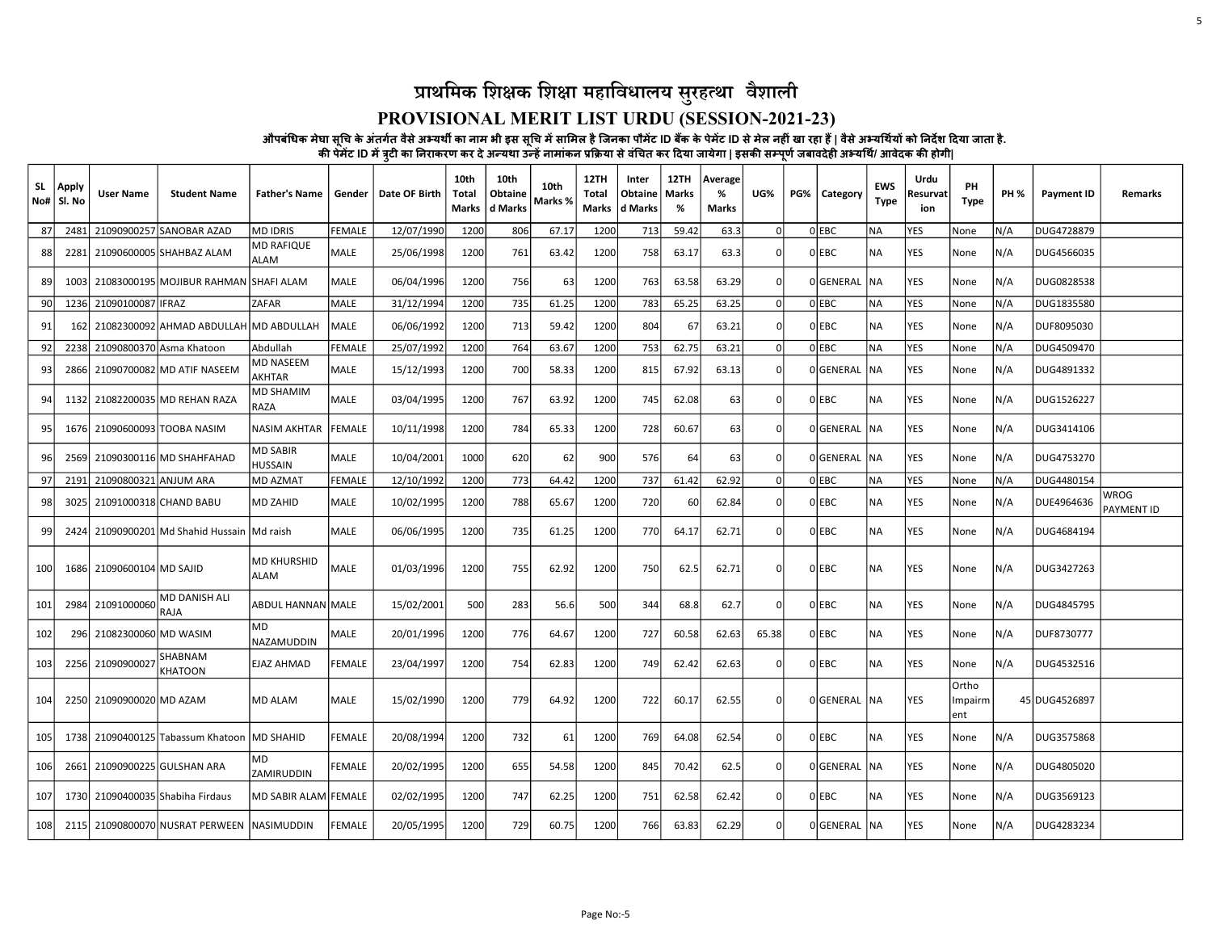### PROVISIONAL MERIT LIST URDU (SESSION-2021-23)

औपबंधिक मेघा सूचि के अंतर्गत वैसे अभ्यथौ का नाम भी इस सूचि में सामिल है जिनका पौमेंट ID बैंक के पेमेंट ID से मेल नहीं खा रहा हैं | वैसे अभ्यथियों को निर्देश दिया जाता है.

5

| SL<br>No# | Apply<br>  SI. No | User Name                | <b>Student Name</b>                        | <b>Father's Name</b>              | Gender        | Date OF Birth | 10th<br>Total<br>Marks | 10th<br>Obtaine<br>d Marks | 10th<br>Marks % | <b>12TH</b><br>Total<br>Marks | Inter<br>Obtaine<br>d Marks | 12TH<br>Marks<br>% | Average<br>%<br>Marks | UG%            | PG% | Category      | <b>EWS</b><br><b>Type</b> | Urdu<br><b>≀esurvat</b><br>ion | PH<br>Type              | <b>PH %</b> | <b>Payment ID</b> | Remarks            |
|-----------|-------------------|--------------------------|--------------------------------------------|-----------------------------------|---------------|---------------|------------------------|----------------------------|-----------------|-------------------------------|-----------------------------|--------------------|-----------------------|----------------|-----|---------------|---------------------------|--------------------------------|-------------------------|-------------|-------------------|--------------------|
| 87        | 2481              |                          | 21090900257 SANOBAR AZAD                   | <b>MD IDRIS</b>                   | FEMALE        | 12/07/1990    | 1200                   | 806                        | 67.17           | 1200                          | 713                         | 59.42              | 63.3                  | $\mathbf{0}$   |     | 0 EBC         | NA)                       | <b>YES</b>                     | None                    | N/A         | DUG4728879        |                    |
| 88        | 2281              |                          | 21090600005 SHAHBAZ ALAM                   | <b>MD RAFIQUE</b><br>ALAM         | MALE          | 25/06/1998    | 1200                   | 761                        | 63.42           | 1200                          | 758                         | 63.17              | 63.3                  | $\overline{0}$ |     | 0 EBC         | NA                        | <b>YES</b>                     | None                    | N/A         | DUG4566035        |                    |
| 89        | 1003              |                          | 21083000195 MOJIBUR RAHMAN SHAFI ALAM      |                                   | <b>MALE</b>   | 06/04/1996    | 1200                   | 756                        | 63              | 1200                          | 763                         | 63.58              | 63.29                 | $\overline{0}$ |     | OIGENERAL INA |                           | YES                            | None                    | N/A         | DUG0828538        |                    |
| 90 l      | 1236              | 21090100087 IFRAZ        |                                            | ZAFAR                             | MALE          | 31/12/1994    | 1200                   | 735                        | 61.25           | 1200                          | 783                         | 65.25              | 63.25                 | $\Omega$       |     | $0$ EBC       | NA                        | YES                            | None                    | N/A         | DUG1835580        |                    |
| 91        | 162               |                          | 21082300092 AHMAD ABDULLAH MD ABDULLAH     |                                   | <b>MALE</b>   | 06/06/1992    | 1200                   | 713                        | 59.42           | 1200                          | 804                         | 67                 | 63.21                 | $\Omega$       |     | 0 EBC         | l NA                      | YES                            | None                    | N/A         | DUF8095030        |                    |
| 92        | 2238              |                          | 21090800370 Asma Khatoon                   | Abdullah                          | FEMALE        | 25/07/1992    | 1200                   | 764                        | 63.67           | 1200                          | 753                         | 62.75              | 63.21                 | $\mathbf{0}$   |     | 0 EBC         | NA)                       | <b>YES</b>                     | None                    | N/A         | DUG4509470        |                    |
| 93        | 2866              |                          | 21090700082 MD ATIF NASEEM                 | MD NASEEM<br><b>AKHTAR</b>        | MALE          | 15/12/1993    | 1200                   | 700                        | 58.33           | 1200                          | 815                         | 67.92              | 63.13                 | $\overline{0}$ |     | OIGENERAL INA |                           | <b>YES</b>                     | None                    | N/A         | DUG4891332        |                    |
| 94        | 1132              |                          | 21082200035 MD REHAN RAZA                  | MD SHAMIM<br>RAZA                 | MALE          | 03/04/1995    | 1200                   | 767                        | 63.92           | 1200                          | 745                         | 62.08              | 63                    | $\overline{0}$ |     | <b>OIEBC</b>  | INA.                      | <b>YES</b>                     | None                    | N/A         | DUG1526227        |                    |
| 95        | 1676              |                          | 21090600093 TOOBA NASIM                    | NASIM AKHTAR                      | <b>FEMALE</b> | 10/11/1998    | 1200                   | 784                        | 65.33           | 1200                          | 728                         | 60.67              | 63                    | $\mathbf 0$    |     | 0 GENERAL NA  |                           | YES                            | None                    | N/A         | DUG3414106        |                    |
| 96        | 2569              |                          | 21090300116 MD SHAHFAHAD                   | <b>MD SABIR</b><br>HUSSAIN        | MALE          | 10/04/2001    | 1000                   | 620                        | 62              | 900                           | 576                         | 64                 | 63                    | $\Omega$       |     | OIGENERAL INA |                           | <b>YES</b>                     | None                    | N/A         | DUG4753270        |                    |
| 97        | 2191              | 21090800321 ANJUM ARA    |                                            | <b>MD AZMAT</b>                   | <b>FEMALE</b> | 12/10/1992    | 1200                   | 773                        | 64.42           | 1200                          | 737                         | 61.42              | 62.92                 | $\overline{0}$ |     | 0 EBC         | INA.                      | lyes                           | None                    | N/A         | DUG4480154        |                    |
| 98        | 3025              |                          | 21091000318 CHAND BABU                     | <b>MD ZAHID</b>                   | MALE          | 10/02/1995    | 1200                   | 788                        | 65.67           | 1200                          | 720                         | 60                 | 62.84                 | $\overline{0}$ |     | 0 EBC         | NA                        | <b>YES</b>                     | None                    | N/A         | DUE4964636        | WROG<br>PAYMENT ID |
| 99        | 2424              |                          | 21090900201 Md Shahid Hussain              | Md raish                          | MALE          | 06/06/1995    | 1200                   | 735                        | 61.25           | 1200                          | 770                         | 64.17              | 62.71                 | $\overline{0}$ |     | 0 EBC         | NA                        | YES)                           | None                    | N/A         | DUG4684194        |                    |
| 100       | 1686              | 21090600104 MD SAJID     |                                            | <b>MD KHURSHID</b><br><b>ALAM</b> | <b>MALE</b>   | 01/03/1996    | 1200                   | 755                        | 62.92           | 1200                          | 750                         | 62.5               | 62.71                 | $\overline{0}$ |     | OIEBC         | INA.                      | <b>YES</b>                     | <b>None</b>             | N/A         | DUG3427263        |                    |
| 101       | 2984              | 21091000060              | <b>MD DANISH ALI</b><br>RAJA               | ABDUL HANNAN MALE                 |               | 15/02/2001    | 500                    | 283                        | 56.6            | 500                           | 344                         | 68.8               | 62.7                  | $\Omega$       |     | <b>OIEBC</b>  | INA.                      | YES.                           | None                    | N/A         | DUG4845795        |                    |
| 102       | 296               | 21082300060 MD WASIM     |                                            | MD<br><b>NAZAMUDDIN</b>           | MALE          | 20/01/1996    | 1200                   | 776                        | 64.67           | 1200                          | 727                         | 60.58              | 62.63                 | 65.38          |     | 0 EBC         | NA                        | YES                            | None                    | N/A         | DUF8730777        |                    |
| 103       |                   | 2256 21090900027         | SHABNAM<br>KHATOON                         | <b>EJAZ AHMAD</b>                 | FEMALE        | 23/04/1997    | 1200                   | 754                        | 62.83           | 1200                          | 749                         | 62.42              | 62.63                 | $\mathbf 0$    |     | OIEBC         | NA.                       | YES                            | None                    | N/A         | DUG4532516        |                    |
| 104       |                   | 2250 21090900020 MD AZAM |                                            | <b>MD ALAM</b>                    | MALE          | 15/02/1990    | 1200                   | 779                        | 64.92           | 1200                          | 722                         | 60.17              | 62.55                 | $\mathbf 0$    |     | OGENERAL NA   |                           | <b>YES</b>                     | Ortho<br>Impairm<br>ent |             | 45 DUG4526897     |                    |
| 105       |                   |                          | 1738 21090400125 Tabassum Khatoon          | <b>MD SHAHID</b>                  | FEMALE        | 20/08/1994    | 1200                   | 732                        | 61              | 1200                          | 769                         | 64.08              | 62.54                 | $\overline{0}$ |     | 0 EBC         | NA                        | <b>YES</b>                     | None                    | N/A         | DUG3575868        |                    |
| 106       | 2661              |                          | 21090900225 GULSHAN ARA                    | MD<br>ZAMIRUDDIN                  | FEMALE        | 20/02/1995    | 1200                   | 655                        | 54.58           | 1200                          | 845                         | 70.42              | 62.5                  | $\overline{0}$ |     | 0 GENERAL NA  |                           | YES)                           | None                    | N/A         | DUG4805020        |                    |
| 107       | 1730              |                          | 21090400035 Shabiha Firdaus                | MD SABIR ALAM FEMALE              |               | 02/02/1995    | 1200                   | 747                        | 62.25           | 1200                          | 751                         | 62.58              | 62.42                 | $\mathbf 0$    |     | 0 EBC         | NA                        | YES)                           | None                    | N/A         | DUG3569123        |                    |
| 108       |                   |                          | 2115 21090800070 NUSRAT PERWEEN NASIMUDDIN |                                   | <b>FEMALE</b> | 20/05/1995    | 1200                   | 729                        | 60.75           | 1200                          | 766                         | 63.83              | 62.29                 | $\mathbf 0$    |     | OGENERAL NA   |                           | YES                            | None                    | N/A         | DUG4283234        |                    |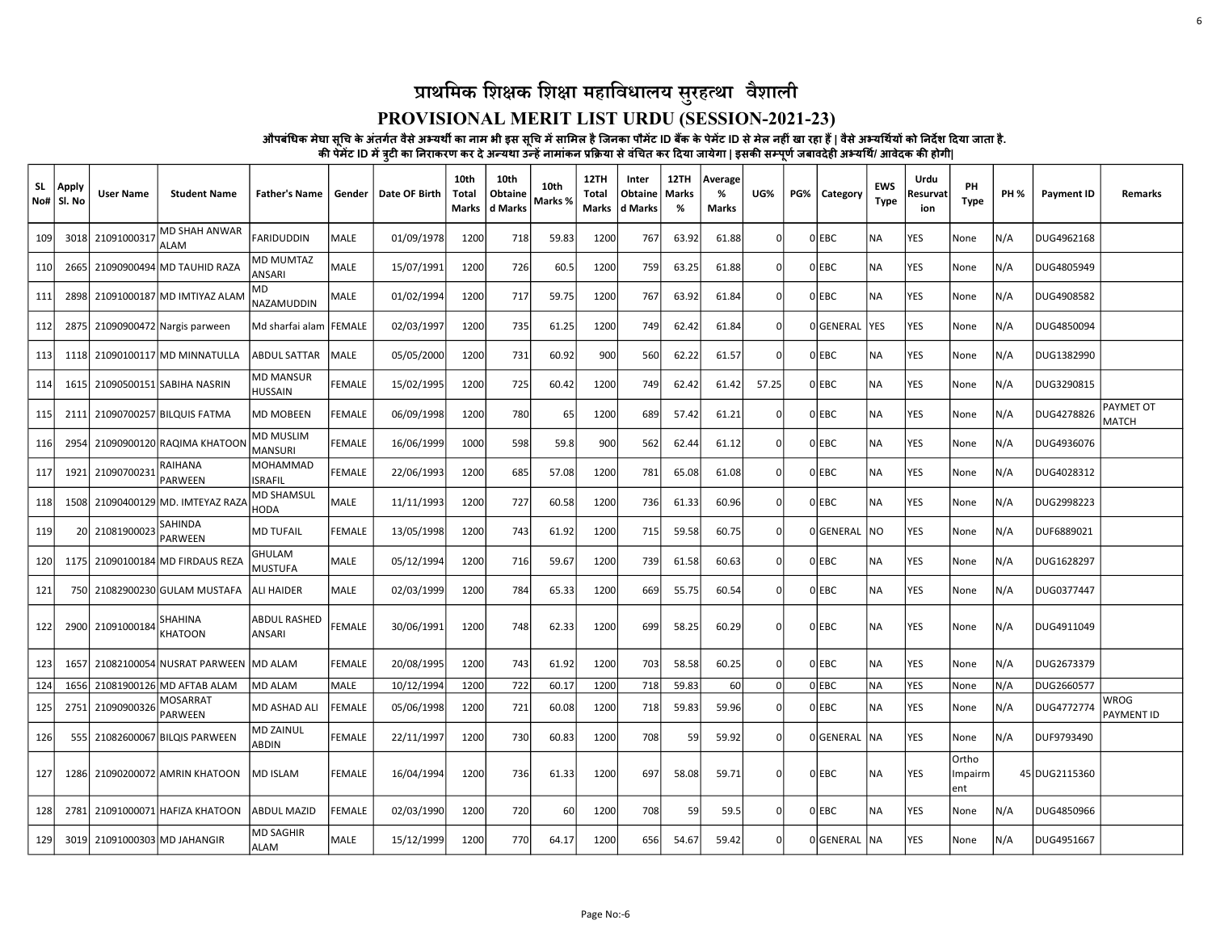### PROVISIONAL MERIT LIST URDU (SESSION-2021-23)

औपबंधिक मेघा सूचि के अंतर्गत वैसे अभ्यथौ का नाम भी इस सूचि में सामिल है जिनका पौमेंट ID बैंक के पेमेंट ID से मेल नहीं खा रहा हैं | वैसे अभ्यथियों को निर्देश दिया जाता है.

6

| <b>SL</b> | Apply<br>No#   SI. No | User Name        | <b>Student Name</b>               | <b>Father's Name</b>             | Gender        | Date OF Birth | 10th<br>Total<br>Marks | 10th<br>Obtaine<br>d Marks | 10th<br>Marks % | 12TH<br>Total<br>Marks | Inter<br>Obtaine<br>d Marks | 12TH<br>Marks<br>% | Average<br>%<br>Marks | UG%            | PG% | Category      | <b>EWS</b><br><b>Type</b> | Urdu<br>Resurvat<br>ion | PH<br><b>Type</b>       | <b>PH %</b> | <b>Payment ID</b> | <b>Remarks</b>     |
|-----------|-----------------------|------------------|-----------------------------------|----------------------------------|---------------|---------------|------------------------|----------------------------|-----------------|------------------------|-----------------------------|--------------------|-----------------------|----------------|-----|---------------|---------------------------|-------------------------|-------------------------|-------------|-------------------|--------------------|
| 109       |                       | 3018 21091000317 | <b>MD SHAH ANWAR</b><br>ALAM      | FARIDUDDIN                       | <b>MALE</b>   | 01/09/1978    | 1200                   | 718                        | 59.83           | 1200                   | 767                         | 63.92              | 61.88                 | $\overline{0}$ |     | $O$ EBC       | <b>NA</b>                 | YES                     | None                    | N/A         | DUG4962168        |                    |
| 110       | 26651                 |                  | 21090900494 MD TAUHID RAZA        | MD MUMTAZ<br>ANSARI              | MALE          | 15/07/1991    | 1200                   | 726                        | 60.5            | 1200                   | 759                         | 63.25              | 61.88                 | $\mathbf 0$    |     | 0 EBC         | NA                        | YES                     | None                    | N/A         | DUG4805949        |                    |
| 111       | 2898                  |                  | 21091000187 MD IMTIYAZ ALAM       | MD<br>NAZAMUDDIN                 | MALE          | 01/02/1994    | 1200                   | 717                        | 59.75           | 1200                   | 767                         | 63.92              | 61.84                 | $\Omega$       |     | 0 EBC         | <b>NA</b>                 | YES                     | None                    | N/A         | DUG4908582        |                    |
| 112       | 2875                  |                  | 21090900472 Nargis parween        | Md sharfai alam   FEMALE         |               | 02/03/1997    | 1200                   | 735                        | 61.25           | 1200                   | 749                         | 62.42              | 61.84                 | $\Omega$       |     | OGENERAL YES  |                           | <b>YES</b>              | None                    | N/A         | DUG4850094        |                    |
| 113       |                       |                  | 1118 21090100117 MD MINNATULLA    | <b>ABDUL SATTAR</b>              | MALE          | 05/05/2000    | 1200                   | 731                        | 60.92           | 900                    | 560                         | 62.22              | 61.57                 | $\Omega$       |     | 0 EBC         | <b>NA</b>                 | <b>YES</b>              | None                    | N/A         | DUG1382990        |                    |
| 114       |                       |                  | 1615 21090500151 SABIHA NASRIN    | <b>MD MANSUR</b><br>HUSSAIN      | <b>FEMALE</b> | 15/02/1995    | 1200                   | 725                        | 60.42           | 1200                   | 749                         | 62.42              | 61.42                 | 57.25          |     | 0 EBC         | <b>NA</b>                 | YES                     | None                    | N/A         | DUG3290815        |                    |
| 115       |                       |                  | 2111 21090700257 BILQUIS FATMA    | <b>MD MOBEEN</b>                 | <b>FEMALE</b> | 06/09/1998    | 1200                   | 780                        | 65              | 1200                   | 689                         | 57.42              | 61.21                 | $\mathbf 0$    |     | $O$ EBC       | ΝA                        | <b>YES</b>              | None                    | N/A         | DUG4278826        | PAYMET OT<br>MATCH |
| 116       | 2954                  |                  | 21090900120 RAQIMA KHATOON        | <b>MD MUSLIM</b><br>MANSURI      | <b>FEMALE</b> | 16/06/1999    | 1000                   | 598                        | 59.8            | 900                    | 562                         | 62.44              | 61.12                 | $\Omega$       |     | $0$ EBC       | <b>NA</b>                 | <b>YES</b>              | None                    | N/A         | DUG4936076        |                    |
| 117       |                       | 1921 21090700231 | RAIHANA<br>PARWEEN                | MOHAMMAD<br>ISRAFIL              | <b>FEMALE</b> | 22/06/1993    | 1200                   | 685                        | 57.08           | 1200                   | 781                         | 65.08              | 61.08                 | $\overline{0}$ |     | 0 EBC         | NA                        | <b>YES</b>              | None                    | N/A         | DUG4028312        |                    |
| 118       |                       |                  | 1508 21090400129 MD. IMTEYAZ RAZA | <b>MD SHAMSUL</b><br>HODA        | MALE          | 11/11/1993    | 1200                   | 727                        | 60.58           | 1200                   | 736                         | 61.33              | 60.96                 | $\overline{0}$ |     | 0 EBC         | <b>NA</b>                 | <b>YES</b>              | None                    | N/A         | DUG2998223        |                    |
| 119       |                       | 20 21081900023   | SAHINDA<br>PARWEEN                | <b>MD TUFAIL</b>                 | <b>FEMALE</b> | 13/05/1998    | 1200                   | 743                        | 61.92           | 1200                   | 715                         | 59.58              | 60.75                 | $\overline{0}$ |     | 0 GENERAL     | NO)                       | <b>YES</b>              | None                    | N/A         | DUF6889021        |                    |
| 120       |                       |                  | 1175 21090100184 MD FIRDAUS REZA  | GHULAM<br>MUSTUFA                | MALE          | 05/12/1994    | 1200                   | 716                        | 59.67           | 1200                   | 739                         | 61.58              | 60.63                 | $\overline{0}$ |     | $0$ EBC       | <b>NA</b>                 | YES                     | None                    | N/A         | DUG1628297        |                    |
| 121       |                       |                  | 750 21082900230 GULAM MUSTAFA     | ALI HAIDER                       | <b>MALE</b>   | 02/03/1999    | 1200                   | 784                        | 65.33           | 1200                   | 669                         | 55.75              | 60.54                 | $\Omega$       |     | $O$ EBC       | NA                        | YES                     | None                    | N/A         | DUG0377447        |                    |
| 122       |                       | 2900 21091000184 | SHAHINA<br>KHATOON                | ABDUL RASHED<br>ANSARI           | <b>FEMALE</b> | 30/06/1991    | 1200                   | 748                        | 62.33           | 1200                   | 699                         | 58.25              | 60.29                 | $\Omega$       |     | 0 EBC         | <b>NA</b>                 | <b>YES</b>              | None                    | N/A         | DUG4911049        |                    |
| 123       | 1657                  |                  | 21082100054 NUSRAT PARWEEN        | <b>MD ALAM</b>                   | <b>FEMALE</b> | 20/08/1995    | 1200                   | 743                        | 61.92           | 1200                   | 703                         | 58.58              | 60.25                 | $\overline{0}$ |     | 0 EBC         | NA.                       | YES                     | None                    | N/A         | DUG2673379        |                    |
| 124       | 1656                  |                  | 21081900126 MD AFTAB ALAM         | <b>MD ALAM</b>                   | MALE          | 10/12/1994    | 1200                   | 722                        | 60.17           | 1200                   | 718                         | 59.83              | 60                    | 0              |     | 0 EBC         | ΝA                        | YES                     | None                    | N/A         | DUG2660577        |                    |
| 125       |                       | 2751 21090900326 | MOSARRAT<br><b>PARWEEN</b>        | <b>MD ASHAD ALI</b>              | <b>FEMALE</b> | 05/06/1998    | 1200                   | 721                        | 60.08           | 1200                   | 718                         | 59.83              | 59.96                 | $\overline{0}$ |     | 0 EBC         | <b>NA</b>                 | YES                     | None                    | N/A         | DUG4772774        | WROG<br>PAYMENT ID |
| 126       |                       |                  | 555 21082600067 BILQIS PARWEEN    | <b>MD ZAINUL</b><br><b>ABDIN</b> | <b>FEMALE</b> | 22/11/1997    | 1200                   | 730                        | 60.83           | 1200                   | 708                         | 59                 | 59.92                 | $\overline{0}$ |     | OIGENERAL INA |                           | <b>YES</b>              | None                    | N/A         | DUF9793490        |                    |
| 127       |                       |                  | 1286 21090200072 AMRIN KHATOON    | <b>MD ISLAM</b>                  | <b>FEMALE</b> | 16/04/1994    | 1200                   | 736                        | 61.33           | 1200                   | 697                         | 58.08              | 59.71                 | $\Omega$       |     | 0 EBC         | ΝA                        | YES.                    | Ortho<br>Impairm<br>ent |             | 45 DUG2115360     |                    |
| 128       |                       |                  | 2781 21091000071 HAFIZA KHATOON   | <b>ABDUL MAZID</b>               | <b>FEMALE</b> | 02/03/1990    | 1200                   | 720                        | 60              | 1200                   | 708                         | 59                 | 59.5                  | $\Omega$       |     | $O$ EBC       | <b>NA</b>                 | <b>YES</b>              | None                    | N/A         | DUG4850966        |                    |
| 129       |                       |                  | 3019 21091000303 MD JAHANGIR      | <b>MD SAGHIR</b><br>lalam        | MALE          | 15/12/1999    | 1200                   | 770                        | 64.17           | 1200                   | 656                         | 54.67              | 59.42                 | $\overline{0}$ |     | 0GENERAL NA   |                           | <b>YES</b>              | None                    | N/A         | DUG4951667        |                    |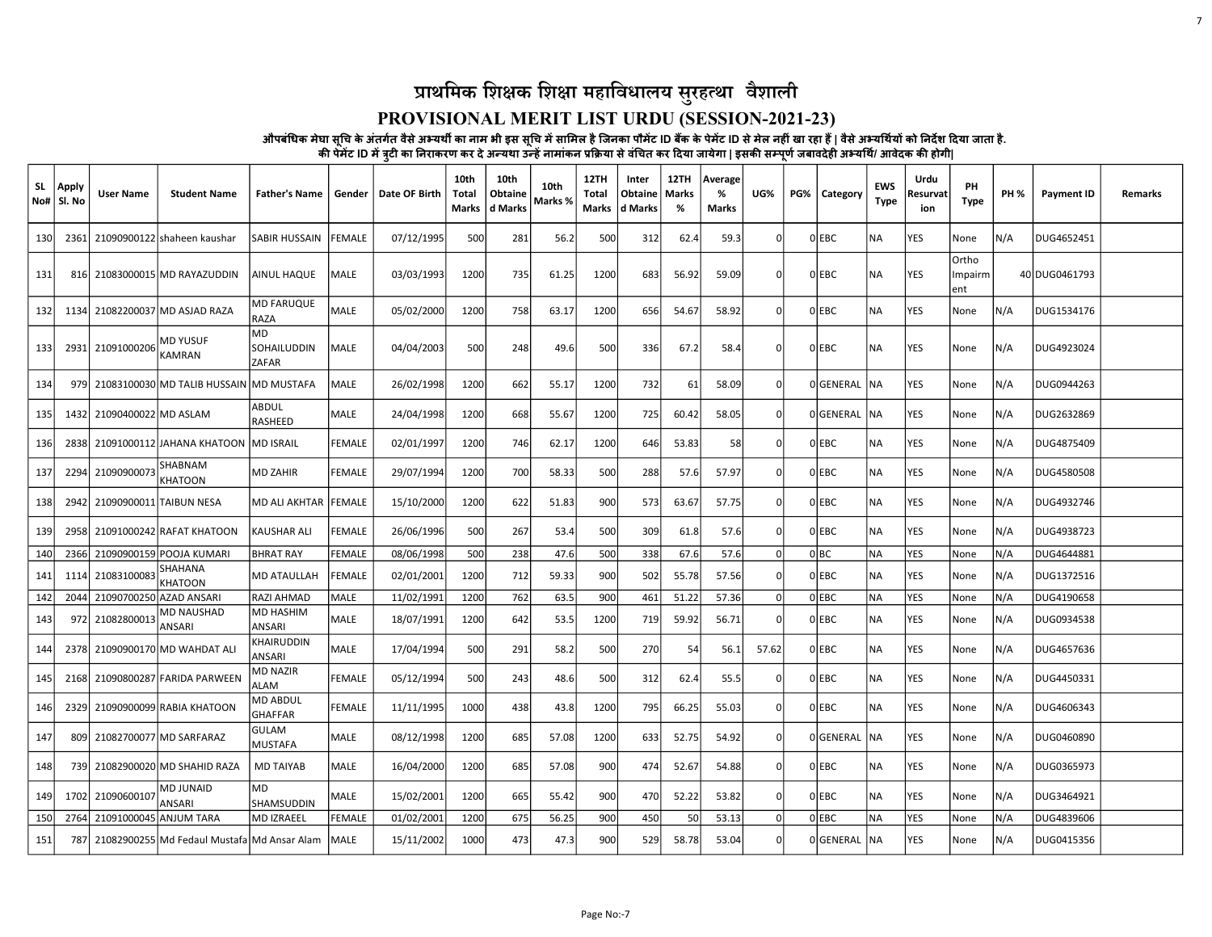### PROVISIONAL MERIT LIST URDU (SESSION-2021-23)

औपबंधिक मेघा सूचि के अंतर्गत वैसे अभ्यथौ का नाम भी इस सूचि में सामिल है जिनका पौमेंट ID बैंक के पेमेंट ID से मेल नहीं खा रहा हैं | वैसे अभ्यथियों को निर्देश दिया जाता है.

7

| <b>SL</b> | Apply<br>No#   SI. No | <b>User Name</b>             | <b>Student Name</b>                             | <b>Father's Name</b>        | Gender        | Date OF Birth | 10th<br>Total<br>Marks | 10th<br>Obtaine<br>d Marks | 10th<br>Marks % | <b>12TH</b><br>Total<br>Marks | Inter<br>Obtaine<br>d Marks | 12TH<br>  Marks<br>% | Average<br>%<br><b>Marks</b> | UG%            | PG% | Category     | <b>EWS</b><br><b>Type</b> | Urdu<br>Resurvat<br>ion | PH<br><b>Type</b>       | <b>PH %</b> | Payment ID    | Remarks |
|-----------|-----------------------|------------------------------|-------------------------------------------------|-----------------------------|---------------|---------------|------------------------|----------------------------|-----------------|-------------------------------|-----------------------------|----------------------|------------------------------|----------------|-----|--------------|---------------------------|-------------------------|-------------------------|-------------|---------------|---------|
| 130       | 2361                  |                              | 21090900122 shaheen kaushar                     | <b>SABIR HUSSAIN</b>        | <b>FEMALE</b> | 07/12/1995    | 500                    | 281                        | 56.2            | 500                           | 312                         | 62.4                 | 59.3                         | $\overline{0}$ |     | 0 EBC        | <b>NA</b>                 | l YES                   | None                    | N/A         | DUG4652451    |         |
| 131       |                       |                              | 816 21083000015 MD RAYAZUDDIN                   | AINUL HAQUE                 | MALE          | 03/03/1993    | 1200                   | 735                        | 61.25           | 1200                          | 683                         | 56.92                | 59.09                        | 0              |     | 0 EBC        | <b>NA</b>                 | YES                     | Ortho<br>Impairm<br>ent |             | 40 DUG0461793 |         |
| 132       |                       |                              | 1134 21082200037 MD ASJAD RAZA                  | <b>MD FARUQUE</b><br>RAZA   | MALE          | 05/02/2000    | 1200                   | 758                        | 63.17           | 1200                          | 656                         | 54.67                | 58.92                        | $\overline{0}$ |     | 0 EBC        | <b>NA</b>                 | <b>YES</b>              | None                    | N/A         | DUG1534176    |         |
| 133       |                       | 2931 21091000206             | MD YUSUF<br>KAMRAN                              | MD<br>SOHAILUDDIN<br>ZAFAR  | MALE          | 04/04/2003    | 500                    | 248                        | 49.6            | 500                           | 336                         | 67.2                 | 58.4                         | 0              |     | 0 EBC        | NA                        | YES)                    | None                    | N/A         | DUG4923024    |         |
| 134       |                       |                              | 979 21083100030 MD TALIB HUSSAIN MD MUSTAFA     |                             | <b>MALE</b>   | 26/02/1998    | 1200                   | 662                        | 55.17           | 1200                          | 732                         | 61                   | 58.09                        | $\overline{0}$ |     | OGENERAL NA  |                           | YES)                    | None                    | N/A         | DUG0944263    |         |
| 135       |                       | 1432 21090400022 MD ASLAM    |                                                 | ABDUL<br>RASHEED            | MALE          | 24/04/1998    | 1200                   | 668                        | 55.67           | 1200                          | 725                         | 60.42                | 58.05                        | $\mathbf 0$    |     | OGENERAL NA  |                           | <b>YES</b>              | None                    | N/A         | DUG2632869    |         |
| 136       | 28381                 |                              | 21091000112 JAHANA KHATOON   MD ISRAIL          |                             | <b>FEMALE</b> | 02/01/1997    | 1200                   | 746                        | 62.17           | 1200                          | 646                         | 53.83                | 58                           | $\overline{0}$ |     | 0 EBC        | INA                       | <b>YES</b>              | None                    | N/A         | DUG4875409    |         |
| 137       | 2294                  | 21090900073                  | SHABNAM<br>KHATOON                              | <b>MD ZAHIR</b>             | <b>FEMALE</b> | 29/07/1994    | 1200                   | 700                        | 58.33           | 500                           | 288                         | 57.6                 | 57.97                        | $\overline{0}$ |     | 0 EBC        | INA                       | YES                     | None                    | N/A         | DUG4580508    |         |
| 138       |                       | 2942 21090900011 TAIBUN NESA |                                                 | MD ALI AKHTAR FEMALE        |               | 15/10/2000    | 1200                   | 622                        | 51.83           | 900                           | 573                         | 63.67                | 57.75                        | $\overline{0}$ |     | $0$ EBC      | INA.                      | YES)                    | None                    | N/A         | DUG4932746    |         |
| 139       | 29581                 |                              | 21091000242 RAFAT KHATOON                       | <b>KAUSHAR ALI</b>          | <b>FEMALE</b> | 26/06/1996    | 500                    | 267                        | 53.4            | 500                           | 309                         | 61.8                 | 57.6                         | $\overline{0}$ |     | 0 EBC        | <b>NA</b>                 | YES                     | None                    | N/A         | DUG4938723    |         |
| 140       |                       |                              | 2366 21090900159 POOJA KUMARI                   | <b>BHRAT RAY</b>            | <b>FEMALE</b> | 08/06/1998    | 500                    | 238                        | 47.6            | 500                           | 338                         | 67.6                 | 57.6                         | $\Omega$       |     | 0 BC         | NA                        | <b>YES</b>              | None                    | N/A         | DUG4644881    |         |
| 141       |                       | 1114 21083100083             | SHAHANA<br>KHATOON                              | <b>MD ATAULLAH</b>          | <b>FEMALE</b> | 02/01/2001    | 1200                   | 712                        | 59.33           | 900                           | 502                         | 55.78                | 57.56                        | $\Omega$       |     | 0 EBC        | <b>NA</b>                 | YES                     | None                    | N/A         | DUG1372516    |         |
| 142       |                       | 2044 21090700250 AZAD ANSARI |                                                 | <b>RAZI AHMAD</b>           | MALE          | 11/02/1991    | 1200                   | 762                        | 63.5            | 900                           | 461                         | 51.22                | 57.36                        | $\mathbf 0$    |     | 0 EBC        | NA)                       | <b>YES</b>              | None                    | N/A         | DUG4190658    |         |
| 143       |                       | 972 21082800013              | MD NAUSHAD<br>ANSARI                            | <b>MD HASHIM</b><br>ANSARI  | MALE          | 18/07/1991    | 1200                   | 642                        | 53.5            | 1200                          | 719                         | 59.92                | 56.71                        | $\overline{0}$ |     | 0 EBC        | <b>NA</b>                 | <b>YES</b>              | None                    | N/A         | DUG0934538    |         |
| 144       | 2378                  |                              | 21090900170 MD WAHDAT ALI                       | KHAIRUDDIN<br><b>ANSARI</b> | MALE          | 17/04/1994    | 500                    | 291                        | 58.2            | 500                           | 270                         | 54                   | 56.1                         | 57.62          |     | 0 EBC        | <b>NA</b>                 | YES                     | None                    | N/A         | DUG4657636    |         |
| 145       |                       |                              | 2168 21090800287 FARIDA PARWEEN                 | MD NAZIR<br>ALAM            | <b>FEMALE</b> | 05/12/1994    | 500                    | 243                        | 48.6            | 500                           | 312                         | 62.4                 | 55.5                         | $\Omega$       |     | 0 EBC        | <b>NA</b>                 | YES)                    | None                    | N/A         | DUG4450331    |         |
| 146       |                       |                              | 2329 21090900099 RABIA KHATOON                  | MD ABDUL<br><b>GHAFFAR</b>  | FEMALE        | 11/11/1995    | 1000                   | 438                        | 43.8            | 1200                          | 795                         | 66.25                | 55.03                        | $\mathbf 0$    |     | 0 EBC        | NA                        | YES)                    | None                    | N/A         | DUG4606343    |         |
| 147       | 809                   |                              | 21082700077 MD SARFARAZ                         | GULAM<br><b>MUSTAFA</b>     | <b>MALE</b>   | 08/12/1998    | 1200                   | 685                        | 57.08           | 1200                          | 633                         | 52.75                | 54.92                        | $\overline{0}$ |     | OGENERAL NA  |                           | <b>YES</b>              | None                    | N/A         | DUG0460890    |         |
| 148       |                       |                              | 739 21082900020 MD SHAHID RAZA                  | <b>MD TAIYAB</b>            | MALE          | 16/04/2000    | 1200                   | 685                        | 57.08           | 900                           | 474                         | 52.67                | 54.88                        | $\mathbf 0$    |     | 0 EBC        | <b>NA</b>                 | YES                     | None                    | N/A         | DUG0365973    |         |
| 149       |                       | 1702 21090600107             | MD JUNAID<br>ANSARI                             | MD<br><b>SHAMSUDDIN</b>     | MALE          | 15/02/2001    | 1200                   | 665                        | 55.42           | 900                           | 470                         | 52.22                | 53.82                        | $\overline{0}$ |     | 0 EBC        | <b>NA</b>                 | <b>YES</b>              | None                    | N/A         | DUG3464921    |         |
| 150       |                       | 2764 21091000045 ANJUM TARA  |                                                 | <b>MD IZRAEEL</b>           | FEMALE        | 01/02/2001    | 1200                   | 675                        | 56.25           | 900                           | 450                         | 50                   | 53.13                        | $\overline{0}$ |     | 0 EBC        | NA                        | <b>YES</b>              | None                    | N/A         | DUG4839606    |         |
| 151       |                       |                              | 787 21082900255 Md Fedaul Mustafa Md Ansar Alam |                             | <b>MALE</b>   | 15/11/2002    | 1000                   | 473                        | 47.3            | 900                           | 529                         | 58.78                | 53.04                        | $\overline{0}$ |     | 0 GENERAL NA |                           | l YES                   | None                    | N/A         | DUG0415356    |         |